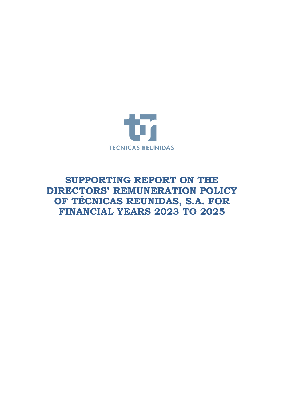

# **SUPPORTING REPORT ON THE DIRECTORS' REMUNERATION POLICY OF TÉCNICAS REUNIDAS, S.A. FOR FINANCIAL YEARS 2023 TO 2025**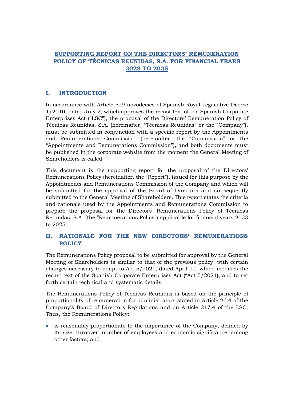## **SUPPORTING REPORT ON THE DIRECTORS' REMUNERATION POLICY OF TÉCNICAS REUNIDAS, S.A. FOR FINANCIAL YEARS 2023 TO 2025**

### **I. INTRODUCTION**

In accordance with Article 529 novodecies of Spanish Royal Legislative Decree 1/2010, dated July 2, which approves the recast text of the Spanish Corporate Enterprises Act ("LSC"), the proposal of the Directors' Remuneration Policy of Técnicas Reunidas, S.A. (hereinafter, "Técnicas Reunidas" or the "Company"), must be submitted in conjunction with a specific report by the Appointments and Remunerations Commission (hereinafter, the "Commission" or the "Appointments and Remunerations Commission"), and both documents must be published in the corporate website from the moment the General Meeting of Shareholders is called.

This document is the supporting report for the proposal of the Directors' Remunerations Policy (hereinafter, the "Report"), issued for this purpose by the Appointments and Remunerations Commission of the Company and which will be submitted for the approval of the Board of Directors and subsequently submitted to the General Meeting of Shareholders. This report states the criteria and rationale used by the Appointments and Remunerations Commission to prepare the proposal for the Directors' Remunerations Policy of Técnicas Reunidas, S.A. (the "Remunerations Policy") applicable for financial years 2023 to 2025.

#### **II. RATIONALE FOR THE NEW DIRECTORS' REMUNERATIONS POLICY**

The Remunerations Policy proposal to be submitted for approval by the General Meeting of Shareholders is similar to that of the previous policy, with certain changes necessary to adapt to Act 5/2021, dated April 12, which modifies the recast text of the Spanish Corporate Enterprises Act ("Act 5/2021), and to set forth certain technical and systematic details.

The Remunerations Policy of Técnicas Reunidas is based on the principle of proportionality of remuneration for administrators stated in Article 26.4 of the Company's Board of Directors Regulations and on Article 217.4 of the LSC. Thus, the Remunerations Policy:

• is reasonably proportionate to the importance of the Company, defined by its size, turnover, number of employees and economic significance, among other factors; and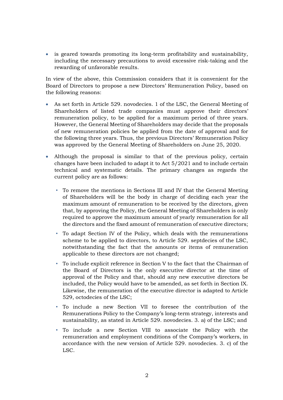• is geared towards promoting its long-term profitability and sustainability, including the necessary precautions to avoid excessive risk-taking and the rewarding of unfavorable results.

In view of the above, this Commission considers that it is convenient for the Board of Directors to propose a new Directors' Remuneration Policy, based on the following reasons:

- As set forth in Article 529. novodecies. 1 of the LSC, the General Meeting of Shareholders of listed trade companies must approve their directors' remuneration policy, to be applied for a maximum period of three years. However, the General Meeting of Shareholders may decide that the proposals of new remuneration policies be applied from the date of approval and for the following three years. Thus, the previous Directors' Remuneration Policy was approved by the General Meeting of Shareholders on June 25, 2020.
- Although the proposal is similar to that of the previous policy, certain changes have been included to adapt it to Act 5/2021 and to include certain technical and systematic details. The primary changes as regards the current policy are as follows:
	- To remove the mentions in Sections III and IV that the General Meeting of Shareholders will be the body in charge of deciding each year the maximum amount of remuneration to be received by the directors, given that, by approving the Policy, the General Meeting of Shareholders is only required to approve the maximum amount of yearly remuneration for all the directors and the fixed amount of remuneration of executive directors;
	- To adapt Section IV of the Policy, which deals with the remunerations scheme to be applied to directors, to Article 529. septdecies of the LSC, notwithstanding the fact that the amounts or items of remuneration applicable to these directors are not changed;
	- To include explicit reference in Section V to the fact that the Chairman of the Board of Directors is the only executive director at the time of approval of the Policy and that, should any new executive directors be included, the Policy would have to be amended, as set forth in Section IX. Likewise, the remuneration of the executive director is adapted to Article 529, octodecies of the LSC;
	- To include a new Section VII to foresee the contribution of the Remunerations Policy to the Company's long-term strategy, interests and sustainability, as stated in Article 529. novodecies. 3. a) of the LSC; and
	- To include a new Section VIII to associate the Policy with the remuneration and employment conditions of the Company's workers, in accordance with the new version of Article 529. novodecies. 3. c) of the LSC.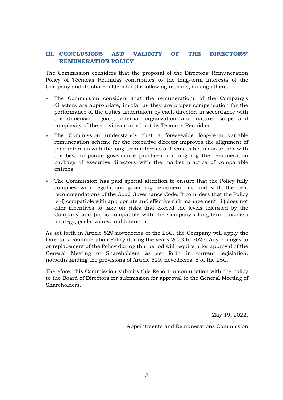## **III. CONCLUSIONS AND VALIDITY OF THE DIRECTORS' REMUNERATION POLICY**

The Commission considers that the proposal of the Directors' Remuneration Policy of Técnicas Reunidas contributes to the long-term interests of the Company and its shareholders for the following reasons, among others:

- The Commission considers that the remunerations of the Company's directors are appropriate, insofar as they are proper compensation for the performance of the duties undertaken by each director, in accordance with the dimension, goals, internal organization and nature, scope and complexity of the activities carried out by Técnicas Reunidas.
- The Commission understands that a foreseeable long-term variable remuneration scheme for the executive director improves the alignment of their interests with the long-term interests of Técnicas Reunidas, in line with the best corporate governance practices and aligning the remuneration package of executive directors with the market practice of comparable entities.
- The Commission has paid special attention to ensure that the Policy fully complies with regulations governing remunerations and with the best recommendations of the Good Governance Code. It considers that the Policy is (i) compatible with appropriate and effective risk management, (ii) does not offer incentives to take on risks that exceed the levels tolerated by the Company and (iii) is compatible with the Company's long-term business strategy, goals, values and interests.

As set forth in Article 529 novodecies of the LSC, the Company will apply the Directors' Remuneration Policy during the years 2023 to 2025. Any changes to or replacement of the Policy during this period will require prior approval of the General Meeting of Shareholders as set forth in current legislation, notwithstanding the provisions of Article 529. novodecies. 5 of the LSC.

Therefore, this Commission submits this Report in conjunction with the policy to the Board of Directors for submission for approval to the General Meeting of Shareholders.

May 19, 2022.

Appointments and Remunerations Commission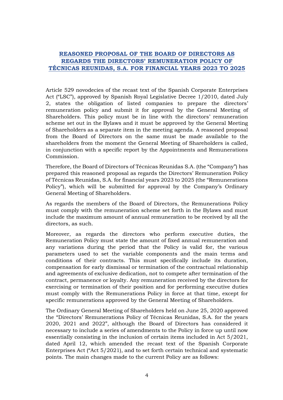## **REASONED PROPOSAL OF THE BOARD OF DIRECTORS AS REGARDS THE DIRECTORS' REMUNERATION POLICY OF TÉCNICAS REUNIDAS, S.A. FOR FINANCIAL YEARS 2023 TO 2025**

Article 529 novodecies of the recast text of the Spanish Corporate Enterprises Act ("LSC"), approved by Spanish Royal Legislative Decree 1/2010, dated July 2, states the obligation of listed companies to prepare the directors' remuneration policy and submit it for approval by the General Meeting of Shareholders. This policy must be in line with the directors' remuneration scheme set out in the Bylaws and it must be approved by the General Meeting of Shareholders as a separate item in the meeting agenda. A reasoned proposal from the Board of Directors on the same must be made available to the shareholders from the moment the General Meeting of Shareholders is called, in conjunction with a specific report by the Appointments and Remunerations Commission.

Therefore, the Board of Directors of Técnicas Reunidas S.A. (the "Company") has prepared this reasoned proposal as regards the Directors' Remuneration Policy of Técnicas Reunidas, S.A. for financial years 2023 to 2025 (the "Remunerations Policy"), which will be submitted for approval by the Company's Ordinary General Meeting of Shareholders.

As regards the members of the Board of Directors, the Remunerations Policy must comply with the remuneration scheme set forth in the Bylaws and must include the maximum amount of annual remuneration to be received by all the directors, as such.

Moreover, as regards the directors who perform executive duties, the Remuneration Policy must state the amount of fixed annual remuneration and any variations during the period that the Policy is valid for, the various parameters used to set the variable components and the main terms and conditions of their contracts. This must specifically include its duration, compensation for early dismissal or termination of the contractual relationship and agreements of exclusive dedication, not to compete after termination of the contract, permanence or loyalty. Any remuneration received by the directors for exercising or termination of their position and for performing executive duties must comply with the Remunerations Policy in force at that time, except for specific remunerations approved by the General Meeting of Shareholders.

The Ordinary General Meeting of Shareholders held on June 25, 2020 approved the "Directors' Remunerations Policy of Técnicas Reunidas, S.A. for the years 2020, 2021 and 2022", although the Board of Directors has considered it necessary to include a series of amendments to the Policy in force up until now essentially consisting in the inclusion of certain items included in Act 5/2021, dated April 12, which amended the recast text of the Spanish Corporate Enterprises Act ("Act 5/2021), and to set forth certain technical and systematic points. The main changes made to the current Policy are as follows: